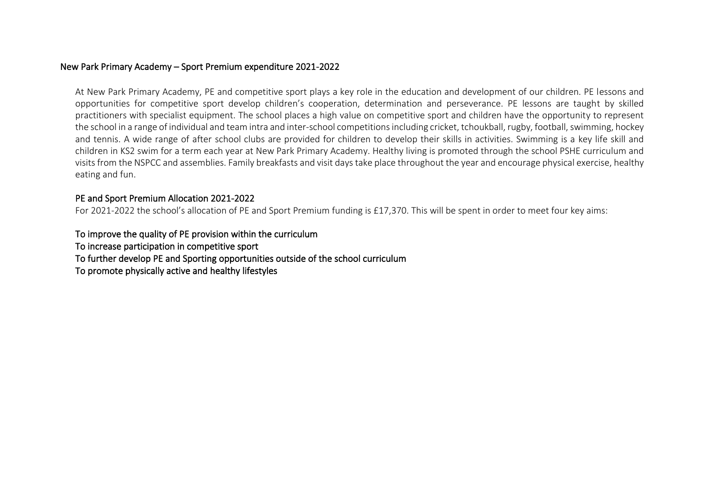## New Park Primary Academy – Sport Premium expenditure 2021-2022

At New Park Primary Academy, PE and competitive sport plays a key role in the education and development of our children. PE lessons and opportunities for competitive sport develop children's cooperation, determination and perseverance. PE lessons are taught by skilled practitioners with specialist equipment. The school places a high value on competitive sport and children have the opportunity to represent the school in a range of individual and team intra and inter-school competitions including cricket, tchoukball, rugby, football, swimming, hockey and tennis. A wide range of after school clubs are provided for children to develop their skills in activities. Swimming is a key life skill and children in KS2 swim for a term each year at New Park Primary Academy. Healthy living is promoted through the school PSHE curriculum and visits from the NSPCC and assemblies. Family breakfasts and visit days take place throughout the year and encourage physical exercise, healthy eating and fun.

## PE and Sport Premium Allocation 2021-2022

For 2021-2022 the school's allocation of PE and Sport Premium funding is £17,370. This will be spent in order to meet four key aims:

To improve the quality of PE provision within the curriculum To increase participation in competitive sport To further develop PE and Sporting opportunities outside of the school curriculum To promote physically active and healthy lifestyles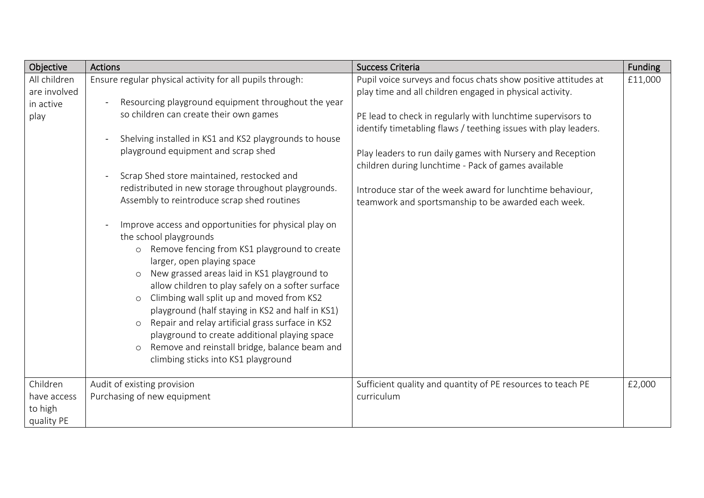| Objective                                         | <b>Actions</b>                                                                                                                                                                                                                                                                                                                                                                                                                                                                                                                                                                                                                                                                                                                                                                                                                                                                                                                                                                                                                            | <b>Success Criteria</b>                                                                                                                                                                                                                                                                                                                                                                                                                                                                               | <b>Funding</b> |
|---------------------------------------------------|-------------------------------------------------------------------------------------------------------------------------------------------------------------------------------------------------------------------------------------------------------------------------------------------------------------------------------------------------------------------------------------------------------------------------------------------------------------------------------------------------------------------------------------------------------------------------------------------------------------------------------------------------------------------------------------------------------------------------------------------------------------------------------------------------------------------------------------------------------------------------------------------------------------------------------------------------------------------------------------------------------------------------------------------|-------------------------------------------------------------------------------------------------------------------------------------------------------------------------------------------------------------------------------------------------------------------------------------------------------------------------------------------------------------------------------------------------------------------------------------------------------------------------------------------------------|----------------|
| All children<br>are involved<br>in active<br>play | Ensure regular physical activity for all pupils through:<br>Resourcing playground equipment throughout the year<br>so children can create their own games<br>Shelving installed in KS1 and KS2 playgrounds to house<br>playground equipment and scrap shed<br>Scrap Shed store maintained, restocked and<br>redistributed in new storage throughout playgrounds.<br>Assembly to reintroduce scrap shed routines<br>Improve access and opportunities for physical play on<br>the school playgrounds<br>Remove fencing from KS1 playground to create<br>$\circ$<br>larger, open playing space<br>New grassed areas laid in KS1 playground to<br>$\circ$<br>allow children to play safely on a softer surface<br>Climbing wall split up and moved from KS2<br>$\circ$<br>playground (half staying in KS2 and half in KS1)<br>Repair and relay artificial grass surface in KS2<br>$\circ$<br>playground to create additional playing space<br>Remove and reinstall bridge, balance beam and<br>$\circ$<br>climbing sticks into KS1 playground | Pupil voice surveys and focus chats show positive attitudes at<br>play time and all children engaged in physical activity.<br>PE lead to check in regularly with lunchtime supervisors to<br>identify timetabling flaws / teething issues with play leaders.<br>Play leaders to run daily games with Nursery and Reception<br>children during lunchtime - Pack of games available<br>Introduce star of the week award for lunchtime behaviour,<br>teamwork and sportsmanship to be awarded each week. | £11,000        |
| Children<br>have access<br>to high<br>quality PE  | Audit of existing provision<br>Purchasing of new equipment                                                                                                                                                                                                                                                                                                                                                                                                                                                                                                                                                                                                                                                                                                                                                                                                                                                                                                                                                                                | Sufficient quality and quantity of PE resources to teach PE<br>curriculum                                                                                                                                                                                                                                                                                                                                                                                                                             | £2,000         |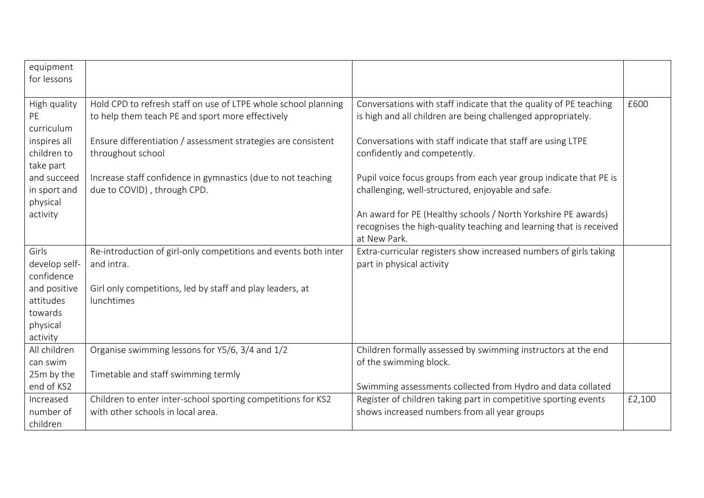| equipment<br>for lessons                 |                                                                                                                    |                                                                                                                                                     |        |
|------------------------------------------|--------------------------------------------------------------------------------------------------------------------|-----------------------------------------------------------------------------------------------------------------------------------------------------|--------|
| High quality<br>PE<br>curriculum         | Hold CPD to refresh staff on use of LTPE whole school planning<br>to help them teach PE and sport more effectively | Conversations with staff indicate that the quality of PE teaching<br>is high and all children are being challenged appropriately.                   | £600   |
| inspires all<br>children to<br>take part | Ensure differentiation / assessment strategies are consistent<br>throughout school                                 | Conversations with staff indicate that staff are using LTPE<br>confidently and competently.                                                         |        |
| and succeed<br>in sport and<br>physical  | Increase staff confidence in gymnastics (due to not teaching<br>due to COVID), through CPD.                        | Pupil voice focus groups from each year group indicate that PE is<br>challenging, well-structured, enjoyable and safe.                              |        |
| activity                                 |                                                                                                                    | An award for PE (Healthy schools / North Yorkshire PE awards)<br>recognises the high-quality teaching and learning that is received<br>at New Park. |        |
| Girls                                    | Re-introduction of girl-only competitions and events both inter                                                    | Extra-curricular registers show increased numbers of girls taking                                                                                   |        |
| develop self-<br>confidence              | and intra.                                                                                                         | part in physical activity                                                                                                                           |        |
|                                          |                                                                                                                    |                                                                                                                                                     |        |
|                                          |                                                                                                                    |                                                                                                                                                     |        |
| and positive<br>attitudes                | Girl only competitions, led by staff and play leaders, at<br>lunchtimes                                            |                                                                                                                                                     |        |
| towards                                  |                                                                                                                    |                                                                                                                                                     |        |
| physical                                 |                                                                                                                    |                                                                                                                                                     |        |
| activity                                 |                                                                                                                    |                                                                                                                                                     |        |
| All children                             | Organise swimming lessons for Y5/6, 3/4 and 1/2                                                                    | Children formally assessed by swimming instructors at the end                                                                                       |        |
| can swim                                 |                                                                                                                    | of the swimming block.                                                                                                                              |        |
| 25m by the                               | Timetable and staff swimming termly                                                                                |                                                                                                                                                     |        |
| end of KS2                               |                                                                                                                    | Swimming assessments collected from Hydro and data collated                                                                                         |        |
| Increased                                | Children to enter inter-school sporting competitions for KS2                                                       | Register of children taking part in competitive sporting events                                                                                     | £2,100 |
| number of<br>children                    | with other schools in local area.                                                                                  | shows increased numbers from all year groups                                                                                                        |        |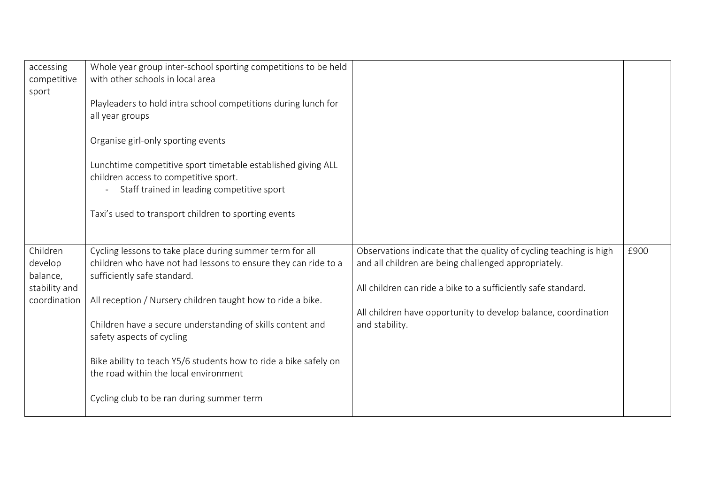| accessing<br>competitive<br>sport                                | Whole year group inter-school sporting competitions to be held<br>with other schools in local area<br>Playleaders to hold intra school competitions during lunch for<br>all year groups<br>Organise girl-only sporting events<br>Lunchtime competitive sport timetable established giving ALL<br>children access to competitive sport.<br>Staff trained in leading competitive sport<br>$\overline{\phantom{0}}$<br>Taxi's used to transport children to sporting events      |                                                                                                                                                                                                                                                                                 |      |
|------------------------------------------------------------------|-------------------------------------------------------------------------------------------------------------------------------------------------------------------------------------------------------------------------------------------------------------------------------------------------------------------------------------------------------------------------------------------------------------------------------------------------------------------------------|---------------------------------------------------------------------------------------------------------------------------------------------------------------------------------------------------------------------------------------------------------------------------------|------|
| Children<br>develop<br>balance,<br>stability and<br>coordination | Cycling lessons to take place during summer term for all<br>children who have not had lessons to ensure they can ride to a<br>sufficiently safe standard.<br>All reception / Nursery children taught how to ride a bike.<br>Children have a secure understanding of skills content and<br>safety aspects of cycling<br>Bike ability to teach Y5/6 students how to ride a bike safely on<br>the road within the local environment<br>Cycling club to be ran during summer term | Observations indicate that the quality of cycling teaching is high<br>and all children are being challenged appropriately.<br>All children can ride a bike to a sufficiently safe standard.<br>All children have opportunity to develop balance, coordination<br>and stability. | £900 |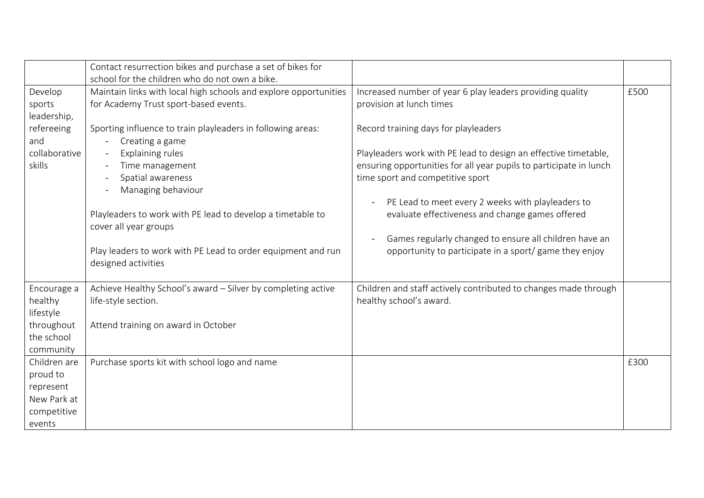|                                                                                              | Contact resurrection bikes and purchase a set of bikes for<br>school for the children who do not own a bike.                                                                                                                                                                                                                                                                                                                                                |                                                                                                                                                                                                                                                                                                                                                                                                                                                                                                                                        |      |
|----------------------------------------------------------------------------------------------|-------------------------------------------------------------------------------------------------------------------------------------------------------------------------------------------------------------------------------------------------------------------------------------------------------------------------------------------------------------------------------------------------------------------------------------------------------------|----------------------------------------------------------------------------------------------------------------------------------------------------------------------------------------------------------------------------------------------------------------------------------------------------------------------------------------------------------------------------------------------------------------------------------------------------------------------------------------------------------------------------------------|------|
| Develop<br>sports<br>leadership,<br>refereeing<br>and<br>collaborative<br>skills             | Maintain links with local high schools and explore opportunities<br>for Academy Trust sport-based events.<br>Sporting influence to train playleaders in following areas:<br>Creating a game<br>Explaining rules<br>Time management<br>Spatial awareness<br>Managing behaviour<br>Playleaders to work with PE lead to develop a timetable to<br>cover all year groups<br>Play leaders to work with PE Lead to order equipment and run<br>designed activities | Increased number of year 6 play leaders providing quality<br>provision at lunch times<br>Record training days for playleaders<br>Playleaders work with PE lead to design an effective timetable,<br>ensuring opportunities for all year pupils to participate in lunch<br>time sport and competitive sport<br>PE Lead to meet every 2 weeks with playleaders to<br>evaluate effectiveness and change games offered<br>Games regularly changed to ensure all children have an<br>opportunity to participate in a sport/ game they enjoy | £500 |
| Encourage a<br>healthy<br>lifestyle<br>throughout<br>the school<br>community<br>Children are | Achieve Healthy School's award - Silver by completing active<br>life-style section.<br>Attend training on award in October<br>Purchase sports kit with school logo and name                                                                                                                                                                                                                                                                                 | Children and staff actively contributed to changes made through<br>healthy school's award.                                                                                                                                                                                                                                                                                                                                                                                                                                             | £300 |
| proud to<br>represent<br>New Park at<br>competitive<br>events                                |                                                                                                                                                                                                                                                                                                                                                                                                                                                             |                                                                                                                                                                                                                                                                                                                                                                                                                                                                                                                                        |      |